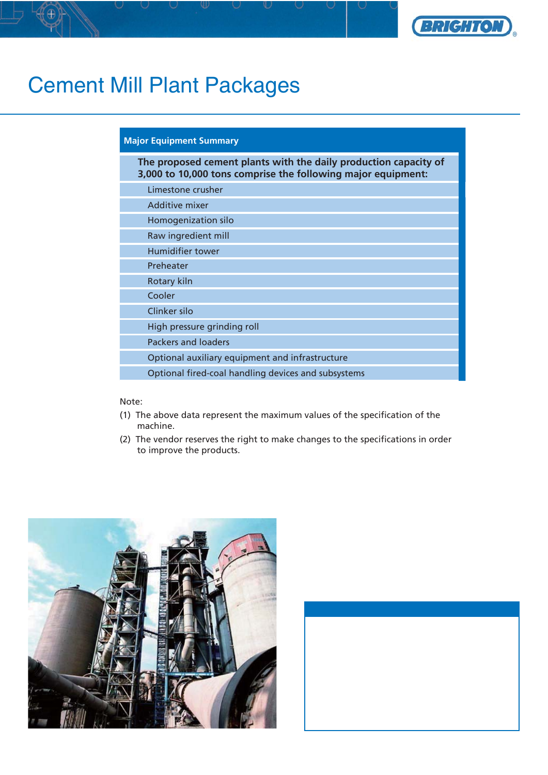

## Cement Mill Plant Packages

## **Major Equipment Summary**

**The proposed cement plants with the daily production capacity of 3,000 to 10,000 tons comprise the following major equipment:**

Limestone crusher

Additive mixer

Homogenization silo

Raw ingredient mill

Humidifier tower

Preheater

Rotary kiln

Cooler

Clinker silo

High pressure grinding roll

Packers and loaders

Optional auxiliary equipment and infrastructure

Optional fired-coal handling devices and subsystems

## Note:

- (1) The above data represent the maximum values of the specification of the machine.
- (2) The vendor reserves the right to make changes to the specifications in order to improve the products.